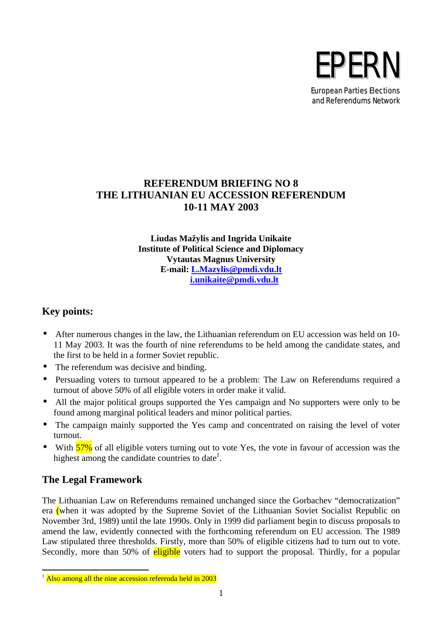

## **REFERENDUM BRIEFING NO 8 THE LITHUANIAN EU ACCESSION REFERENDUM 10-11 MAY 2003**

**Liudas Mažylis and Ingrida Unikaite Institute of Political Science and Diplomacy Vytautas Magnus University E-mail: L.Mazylis@pmdi.vdu.lt i.unikaite@pmdi.vdu.lt**

# **Key points:**

- After numerous changes in the law, the Lithuanian referendum on EU accession was held on 10- 11 May 2003. It was the fourth of nine referendums to be held among the candidate states, and the first to be held in a former Soviet republic.
- The referendum was decisive and binding.
- Persuading voters to turnout appeared to be a problem: The Law on Referendums required a turnout of above 50% of all eligible voters in order make it valid.
- All the major political groups supported the Yes campaign and No supporters were only to be found among marginal political leaders and minor political parties.
- The campaign mainly supported the Yes camp and concentrated on raising the level of voter turnout.
- With  $\frac{57\%}{57\%}$  of all eligible voters turning out to vote Yes, the vote in favour of accession was the highest among the candidate countries to date<sup>1</sup>.

# **The Legal Framework**

 $\overline{a}$ 

The Lithuanian Law on Referendums remained unchanged since the Gorbachev "democratization" era (when it was adopted by the Supreme Soviet of the Lithuanian Soviet Socialist Republic on November 3rd, 1989) until the late 1990s. Only in 1999 did parliament begin to discuss proposals to amend the law, evidently connected with the forthcoming referendum on EU accession. The 1989 Law stipulated three thresholds. Firstly, more than 50% of eligible citizens had to turn out to vote. Secondly, more than 50% of eligible voters had to support the proposal. Thirdly, for a popular

 $1$  Also among all the nine accession referenda held in 2003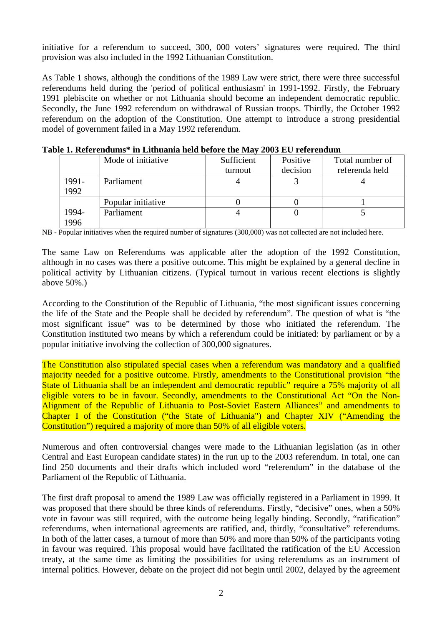initiative for a referendum to succeed, 300, 000 voters' signatures were required. The third provision was also included in the 1992 Lithuanian Constitution.

As Table 1 shows, although the conditions of the 1989 Law were strict, there were three successful referendums held during the 'period of political enthusiasm' in 1991-1992. Firstly, the February 1991 plebiscite on whether or not Lithuania should become an independent democratic republic. Secondly, the June 1992 referendum on withdrawal of Russian troops. Thirdly, the October 1992 referendum on the adoption of the Constitution. One attempt to introduce a strong presidential model of government failed in a May 1992 referendum.

|       | Mode of initiative | Sufficient | Positive | Total number of |
|-------|--------------------|------------|----------|-----------------|
|       |                    | turnout    | decision | referenda held  |
| 1991- | Parliament         |            |          |                 |
| 1992  |                    |            |          |                 |
|       | Popular initiative |            |          |                 |
| 1994- | Parliament         |            |          |                 |
| 1996  |                    |            |          |                 |

**Table 1. Referendums\* in Lithuania held before the May 2003 EU referendum**

NB - Popular initiatives when the required number of signatures (300,000) was not collected are not included here.

The same Law on Referendums was applicable after the adoption of the 1992 Constitution, although in no cases was there a positive outcome. This might be explained by a general decline in political activity by Lithuanian citizens. (Typical turnout in various recent elections is slightly above 50%.)

According to the Constitution of the Republic of Lithuania, "the most significant issues concerning the life of the State and the People shall be decided by referendum". The question of what is "the most significant issue" was to be determined by those who initiated the referendum. The Constitution instituted two means by which a referendum could be initiated: by parliament or by a popular initiative involving the collection of 300,000 signatures.

The Constitution also stipulated special cases when a referendum was mandatory and a qualified majority needed for a positive outcome. Firstly, amendments to the Constitutional provision "the State of Lithuania shall be an independent and democratic republic" require a 75% majority of all eligible voters to be in favour. Secondly, amendments to the Constitutional Act "On the Non-Alignment of the Republic of Lithuania to Post-Soviet Eastern Alliances" and amendments to Chapter I of the Constitution ("the State of Lithuania") and Chapter XIV ("Amending the Constitution") required a majority of more than 50% of all eligible voters.

Numerous and often controversial changes were made to the Lithuanian legislation (as in other Central and East European candidate states) in the run up to the 2003 referendum. In total, one can find 250 documents and their drafts which included word "referendum" in the database of the Parliament of the Republic of Lithuania.

The first draft proposal to amend the 1989 Law was officially registered in a Parliament in 1999. It was proposed that there should be three kinds of referendums. Firstly, "decisive" ones, when a 50% vote in favour was still required, with the outcome being legally binding. Secondly, "ratification" referendums, when international agreements are ratified, and, thirdly, "consultative" referendums. In both of the latter cases, a turnout of more than 50% and more than 50% of the participants voting in favour was required. This proposal would have facilitated the ratification of the EU Accession treaty, at the same time as limiting the possibilities for using referendums as an instrument of internal politics. However, debate on the project did not begin until 2002, delayed by the agreement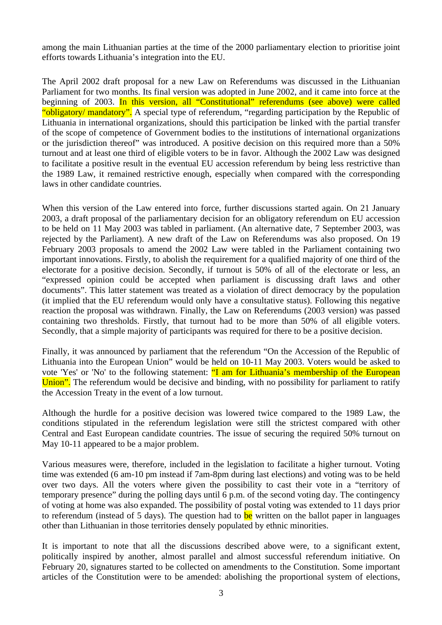among the main Lithuanian parties at the time of the 2000 parliamentary election to prioritise joint efforts towards Lithuania's integration into the EU.

The April 2002 draft proposal for a new Law on Referendums was discussed in the Lithuanian Parliament for two months. Its final version was adopted in June 2002, and it came into force at the beginning of 2003. In this version, all "Constitutional" referendums (see above) were called "obligatory/ mandatory". A special type of referendum, "regarding participation by the Republic of Lithuania in international organizations, should this participation be linked with the partial transfer of the scope of competence of Government bodies to the institutions of international organizations or the jurisdiction thereof" was introduced. A positive decision on this required more than a 50% turnout and at least one third of eligible voters to be in favor. Although the 2002 Law was designed to facilitate a positive result in the eventual EU accession referendum by being less restrictive than the 1989 Law, it remained restrictive enough, especially when compared with the corresponding laws in other candidate countries.

When this version of the Law entered into force, further discussions started again. On 21 January 2003, a draft proposal of the parliamentary decision for an obligatory referendum on EU accession to be held on 11 May 2003 was tabled in parliament. (An alternative date, 7 September 2003, was rejected by the Parliament). A new draft of the Law on Referendums was also proposed. On 19 February 2003 proposals to amend the 2002 Law were tabled in the Parliament containing two important innovations. Firstly, to abolish the requirement for a qualified majority of one third of the electorate for a positive decision. Secondly, if turnout is 50% of all of the electorate or less, an "expressed opinion could be accepted when parliament is discussing draft laws and other documents". This latter statement was treated as a violation of direct democracy by the population (it implied that the EU referendum would only have a consultative status). Following this negative reaction the proposal was withdrawn. Finally, the Law on Referendums (2003 version) was passed containing two thresholds. Firstly, that turnout had to be more than 50% of all eligible voters. Secondly, that a simple majority of participants was required for there to be a positive decision.

Finally, it was announced by parliament that the referendum "On the Accession of the Republic of Lithuania into the European Union" would be held on 10-11 May 2003. Voters would be asked to vote 'Yes' or 'No' to the following statement: "I am for Lithuania's membership of the European Union". The referendum would be decisive and binding, with no possibility for parliament to ratify the Accession Treaty in the event of a low turnout.

Although the hurdle for a positive decision was lowered twice compared to the 1989 Law, the conditions stipulated in the referendum legislation were still the strictest compared with other Central and East European candidate countries. The issue of securing the required 50% turnout on May 10-11 appeared to be a major problem.

Various measures were, therefore, included in the legislation to facilitate a higher turnout. Voting time was extended (6 am-10 pm instead if 7am-8pm during last elections) and voting was to be held over two days. All the voters where given the possibility to cast their vote in a "territory of temporary presence" during the polling days until 6 p.m. of the second voting day. The contingency of voting at home was also expanded. The possibility of postal voting was extended to 11 days prior to referendum (instead of 5 days). The question had to  $be$  written on the ballot paper in languages other than Lithuanian in those territories densely populated by ethnic minorities.

It is important to note that all the discussions described above were, to a significant extent, politically inspired by another, almost parallel and almost successful referendum initiative. On February 20, signatures started to be collected on amendments to the Constitution. Some important articles of the Constitution were to be amended: abolishing the proportional system of elections,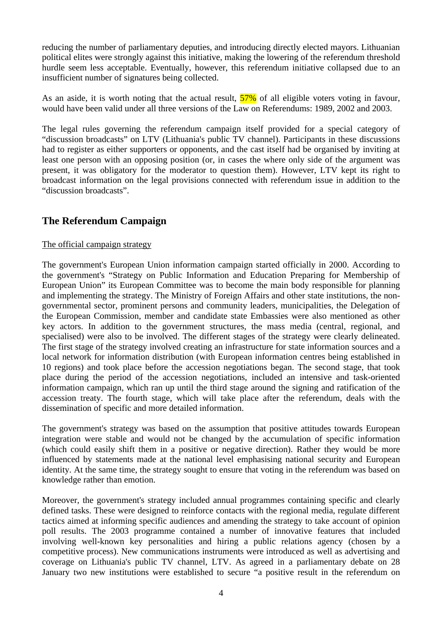reducing the number of parliamentary deputies, and introducing directly elected mayors. Lithuanian political elites were strongly against this initiative, making the lowering of the referendum threshold hurdle seem less acceptable. Eventually, however, this referendum initiative collapsed due to an insufficient number of signatures being collected.

As an aside, it is worth noting that the actual result,  $\frac{57\%}{57\%}$  of all eligible voters voting in favour, would have been valid under all three versions of the Law on Referendums: 1989, 2002 and 2003.

The legal rules governing the referendum campaign itself provided for a special category of "discussion broadcasts" on LTV (Lithuania's public TV channel). Participants in these discussions had to register as either supporters or opponents, and the cast itself had be organised by inviting at least one person with an opposing position (or, in cases the where only side of the argument was present, it was obligatory for the moderator to question them). However, LTV kept its right to broadcast information on the legal provisions connected with referendum issue in addition to the "discussion broadcasts".

## **The Referendum Campaign**

#### The official campaign strategy

The government's European Union information campaign started officially in 2000. According to the government's "Strategy on Public Information and Education Preparing for Membership of European Union" its European Committee was to become the main body responsible for planning and implementing the strategy. The Ministry of Foreign Affairs and other state institutions, the nongovernmental sector, prominent persons and community leaders, municipalities, the Delegation of the European Commission, member and candidate state Embassies were also mentioned as other key actors. In addition to the government structures, the mass media (central, regional, and specialised) were also to be involved. The different stages of the strategy were clearly delineated. The first stage of the strategy involved creating an infrastructure for state information sources and a local network for information distribution (with European information centres being established in 10 regions) and took place before the accession negotiations began. The second stage, that took place during the period of the accession negotiations, included an intensive and task-oriented information campaign, which ran up until the third stage around the signing and ratification of the accession treaty. The fourth stage, which will take place after the referendum, deals with the dissemination of specific and more detailed information.

The government's strategy was based on the assumption that positive attitudes towards European integration were stable and would not be changed by the accumulation of specific information (which could easily shift them in a positive or negative direction). Rather they would be more influenced by statements made at the national level emphasising national security and European identity. At the same time, the strategy sought to ensure that voting in the referendum was based on knowledge rather than emotion.

Moreover, the government's strategy included annual programmes containing specific and clearly defined tasks. These were designed to reinforce contacts with the regional media, regulate different tactics aimed at informing specific audiences and amending the strategy to take account of opinion poll results. The 2003 programme contained a number of innovative features that included involving well-known key personalities and hiring a public relations agency (chosen by a competitive process). New communications instruments were introduced as well as advertising and coverage on Lithuania's public TV channel, LTV. As agreed in a parliamentary debate on 28 January two new institutions were established to secure "a positive result in the referendum on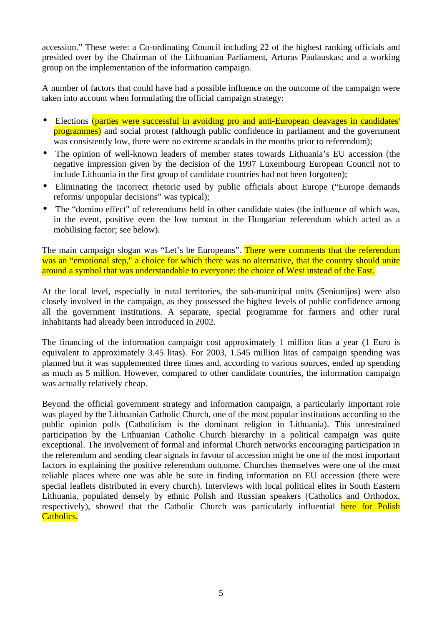accession." These were: a Co-ordinating Council including 22 of the highest ranking officials and presided over by the Chairman of the Lithuanian Parliament, Arturas Paulauskas; and a working group on the implementation of the information campaign.

A number of factors that could have had a possible influence on the outcome of the campaign were taken into account when formulating the official campaign strategy:

- Elections (parties were successful in avoiding pro and anti-European cleavages in candidates' programmes) and social protest (although public confidence in parliament and the government was consistently low, there were no extreme scandals in the months prior to referendum);
- The opinion of well-known leaders of member states towards Lithuania's EU accession (the negative impression given by the decision of the 1997 Luxembourg European Council not to include Lithuania in the first group of candidate countries had not been forgotten);
- Eliminating the incorrect rhetoric used by public officials about Europe ("Europe demands reforms/ unpopular decisions" was typical);
- The "domino effect" of referendums held in other candidate states (the influence of which was, in the event, positive even the low turnout in the Hungarian referendum which acted as a mobilising factor; see below).

The main campaign slogan was "Let's be Europeans". There were comments that the referendum was an "emotional step," a choice for which there was no alternative, that the country should unite around a symbol that was understandable to everyone: the choice of West instead of the East.

At the local level, especially in rural territories, the sub-municipal units (Seniunijos) were also closely involved in the campaign, as they possessed the highest levels of public confidence among all the government institutions. A separate, special programme for farmers and other rural inhabitants had already been introduced in 2002.

The financing of the information campaign cost approximately 1 million litas a year (1 Euro is equivalent to approximately 3.45 litas). For 2003, 1.545 million litas of campaign spending was planned but it was supplemented three times and, according to various sources, ended up spending as much as 5 million. However, compared to other candidate countries, the information campaign was actually relatively cheap.

Beyond the official government strategy and information campaign, a particularly important role was played by the Lithuanian Catholic Church, one of the most popular institutions according to the public opinion polls (Catholicism is the dominant religion in Lithuania). This unrestrained participation by the Lithuanian Catholic Church hierarchy in a political campaign was quite exceptional. The involvement of formal and informal Church networks encouraging participation in the referendum and sending clear signals in favour of accession might be one of the most important factors in explaining the positive referendum outcome. Churches themselves were one of the most reliable places where one was able be sure in finding information on EU accession (there were special leaflets distributed in every church). Interviews with local political elites in South Eastern Lithuania, populated densely by ethnic Polish and Russian speakers (Catholics and Orthodox, respectively), showed that the Catholic Church was particularly influential here for Polish Catholics.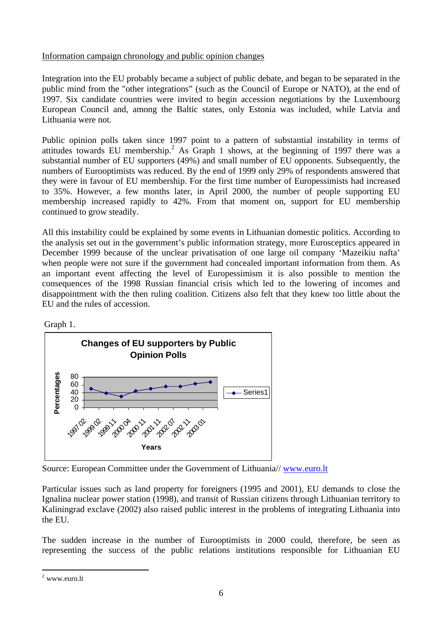#### Information campaign chronology and public opinion changes

Integration into the EU probably became a subject of public debate, and began to be separated in the public mind from the "other integrations" (such as the Council of Europe or NATO), at the end of 1997. Six candidate countries were invited to begin accession negotiations by the Luxembourg European Council and, among the Baltic states, only Estonia was included, while Latvia and Lithuania were not.

Public opinion polls taken since 1997 point to a pattern of substantial instability in terms of attitudes towards EU membership.<sup>2</sup> As Graph 1 shows, at the beginning of 1997 there was a substantial number of EU supporters (49%) and small number of EU opponents. Subsequently, the numbers of Eurooptimists was reduced. By the end of 1999 only 29% of respondents answered that they were in favour of EU membership. For the first time number of Europessimists had increased to 35%. However, a few months later, in April 2000, the number of people supporting EU membership increased rapidly to 42%. From that moment on, support for EU membership continued to grow steadily.

All this instability could be explained by some events in Lithuanian domestic politics. According to the analysis set out in the government's public information strategy, more Eurosceptics appeared in December 1999 because of the unclear privatisation of one large oil company 'Mazeikiu nafta' when people were not sure if the government had concealed important information from them. As an important event affecting the level of Europessimism it is also possible to mention the consequences of the 1998 Russian financial crisis which led to the lowering of incomes and disappointment with the then ruling coalition. Citizens also felt that they knew too little about the EU and the rules of accession.





Source: European Committee under the Government of Lithuania// www.euro.lt

Particular issues such as land property for foreigners (1995 and 2001), EU demands to close the Ignalina nuclear power station (1998), and transit of Russian citizens through Lithuanian territory to Kaliningrad exclave (2002) also raised public interest in the problems of integrating Lithuania into the EU.

The sudden increase in the number of Eurooptimists in 2000 could, therefore, be seen as representing the success of the public relations institutions responsible for Lithuanian EU

 $\overline{a}$ <sup>2</sup> www.euro.lt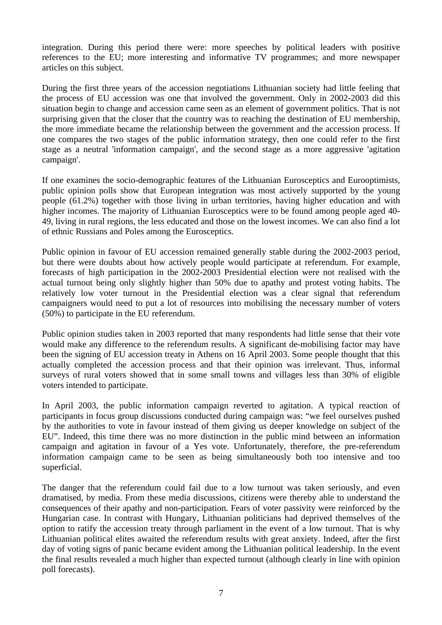integration. During this period there were: more speeches by political leaders with positive references to the EU; more interesting and informative TV programmes; and more newspaper articles on this subject.

During the first three years of the accession negotiations Lithuanian society had little feeling that the process of EU accession was one that involved the government. Only in 2002-2003 did this situation begin to change and accession came seen as an element of government politics. That is not surprising given that the closer that the country was to reaching the destination of EU membership, the more immediate became the relationship between the government and the accession process. If one compares the two stages of the public information strategy, then one could refer to the first stage as a neutral 'information campaign', and the second stage as a more aggressive 'agitation campaign'.

If one examines the socio-demographic features of the Lithuanian Eurosceptics and Eurooptimists, public opinion polls show that European integration was most actively supported by the young people (61.2%) together with those living in urban territories, having higher education and with higher incomes. The majority of Lithuanian Eurosceptics were to be found among people aged 40- 49, living in rural regions, the less educated and those on the lowest incomes. We can also find a lot of ethnic Russians and Poles among the Eurosceptics.

Public opinion in favour of EU accession remained generally stable during the 2002-2003 period, but there were doubts about how actively people would participate at referendum. For example, forecasts of high participation in the 2002-2003 Presidential election were not realised with the actual turnout being only slightly higher than 50% due to apathy and protest voting habits. The relatively low voter turnout in the Presidential election was a clear signal that referendum campaigners would need to put a lot of resources into mobilising the necessary number of voters (50%) to participate in the EU referendum.

Public opinion studies taken in 2003 reported that many respondents had little sense that their vote would make any difference to the referendum results. A significant de-mobilising factor may have been the signing of EU accession treaty in Athens on 16 April 2003. Some people thought that this actually completed the accession process and that their opinion was irrelevant. Thus, informal surveys of rural voters showed that in some small towns and villages less than 30% of eligible voters intended to participate.

In April 2003, the public information campaign reverted to agitation. A typical reaction of participants in focus group discussions conducted during campaign was: "we feel ourselves pushed by the authorities to vote in favour instead of them giving us deeper knowledge on subject of the EU". Indeed, this time there was no more distinction in the public mind between an information campaign and agitation in favour of a Yes vote. Unfortunately, therefore, the pre-referendum information campaign came to be seen as being simultaneously both too intensive and too superficial.

The danger that the referendum could fail due to a low turnout was taken seriously, and even dramatised, by media. From these media discussions, citizens were thereby able to understand the consequences of their apathy and non-participation. Fears of voter passivity were reinforced by the Hungarian case. In contrast with Hungary, Lithuanian politicians had deprived themselves of the option to ratify the accession treaty through parliament in the event of a low turnout. That is why Lithuanian political elites awaited the referendum results with great anxiety. Indeed, after the first day of voting signs of panic became evident among the Lithuanian political leadership. In the event the final results revealed a much higher than expected turnout (although clearly in line with opinion poll forecasts).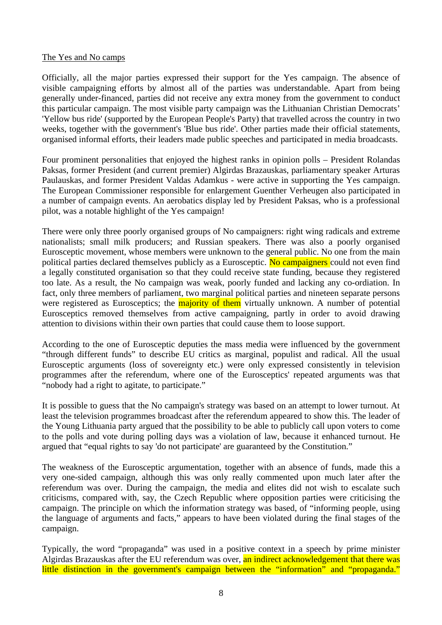#### The Yes and No camps

Officially, all the major parties expressed their support for the Yes campaign. The absence of visible campaigning efforts by almost all of the parties was understandable. Apart from being generally under-financed, parties did not receive any extra money from the government to conduct this particular campaign. The most visible party campaign was the Lithuanian Christian Democrats' 'Yellow bus ride' (supported by the European People's Party) that travelled across the country in two weeks, together with the government's 'Blue bus ride'. Other parties made their official statements, organised informal efforts, their leaders made public speeches and participated in media broadcasts.

Four prominent personalities that enjoyed the highest ranks in opinion polls – President Rolandas Paksas, former President (and current premier) Algirdas Brazauskas, parliamentary speaker Arturas Paulauskas, and former President Valdas Adamkus - were active in supporting the Yes campaign. The European Commissioner responsible for enlargement Guenther Verheugen also participated in a number of campaign events. An aerobatics display led by President Paksas, who is a professional pilot, was a notable highlight of the Yes campaign!

There were only three poorly organised groups of No campaigners: right wing radicals and extreme nationalists; small milk producers; and Russian speakers. There was also a poorly organised Eurosceptic movement, whose members were unknown to the general public. No one from the main political parties declared themselves publicly as a Eurosceptic. No campaigners could not even find a legally constituted organisation so that they could receive state funding, because they registered too late. As a result, the No campaign was weak, poorly funded and lacking any co-ordiation. In fact, only three members of parliament, two marginal political parties and nineteen separate persons were registered as Eurosceptics; the **majority of them** virtually unknown. A number of potential Eurosceptics removed themselves from active campaigning, partly in order to avoid drawing attention to divisions within their own parties that could cause them to loose support.

According to the one of Eurosceptic deputies the mass media were influenced by the government "through different funds" to describe EU critics as marginal, populist and radical. All the usual Eurosceptic arguments (loss of sovereignty etc.) were only expressed consistently in television programmes after the referendum, where one of the Eurosceptics' repeated arguments was that "nobody had a right to agitate, to participate."

It is possible to guess that the No campaign's strategy was based on an attempt to lower turnout. At least the television programmes broadcast after the referendum appeared to show this. The leader of the Young Lithuania party argued that the possibility to be able to publicly call upon voters to come to the polls and vote during polling days was a violation of law, because it enhanced turnout. He argued that "equal rights to say 'do not participate' are guaranteed by the Constitution."

The weakness of the Eurosceptic argumentation, together with an absence of funds, made this a very one-sided campaign, although this was only really commented upon much later after the referendum was over. During the campaign, the media and elites did not wish to escalate such criticisms, compared with, say, the Czech Republic where opposition parties were criticising the campaign. The principle on which the information strategy was based, of "informing people, using the language of arguments and facts," appears to have been violated during the final stages of the campaign.

Typically, the word "propaganda" was used in a positive context in a speech by prime minister Algirdas Brazauskas after the EU referendum was over, an indirect acknowledgement that there was little distinction in the government's campaign between the "information" and "propaganda."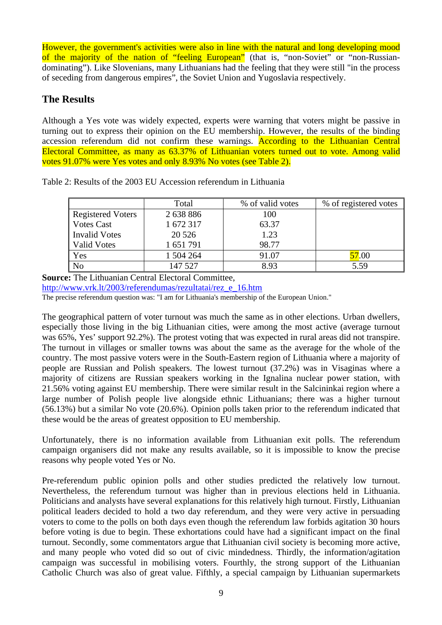However, the government's activities were also in line with the natural and long developing mood of the majority of the nation of "feeling European" (that is, "non-Soviet" or "non-Russiandominating"). Like Slovenians, many Lithuanians had the feeling that they were still "in the process of seceding from dangerous empires", the Soviet Union and Yugoslavia respectively.

# **The Results**

Although a Yes vote was widely expected, experts were warning that voters might be passive in turning out to express their opinion on the EU membership. However, the results of the binding accession referendum did not confirm these warnings. According to the Lithuanian Central Electoral Committee, as many as 63.37% of Lithuanian voters turned out to vote. Among valid votes 91.07% were Yes votes and only 8.93% No votes (see Table 2).

|                          | Total     | % of valid votes | % of registered votes |
|--------------------------|-----------|------------------|-----------------------|
| <b>Registered Voters</b> | 2 638 886 | 100              |                       |
| <b>Votes Cast</b>        | 1 672 317 | 63.37            |                       |
| <b>Invalid Votes</b>     | 20 5 26   | 1.23             |                       |
| <b>Valid Votes</b>       | 1 651 791 | 98.77            |                       |
| Yes                      | 1 504 264 | 91.07            | 57.00                 |
| N <sub>o</sub>           | 147 527   | 8.93             | 5.59                  |

Table 2: Results of the 2003 EU Accession referendum in Lithuania

**Source:** The Lithuanian Central Electoral Committee,

http://www.vrk.lt/2003/referendumas/rezultatai/rez\_e\_16.htm

The precise referendum question was: "I am for Lithuania's membership of the European Union."

The geographical pattern of voter turnout was much the same as in other elections. Urban dwellers, especially those living in the big Lithuanian cities, were among the most active (average turnout was 65%, Yes' support 92.2%). The protest voting that was expected in rural areas did not transpire. The turnout in villages or smaller towns was about the same as the average for the whole of the country. The most passive voters were in the South-Eastern region of Lithuania where a majority of people are Russian and Polish speakers. The lowest turnout (37.2%) was in Visaginas where a majority of citizens are Russian speakers working in the Ignalina nuclear power station, with 21.56% voting against EU membership. There were similar result in the Salcininkai region where a large number of Polish people live alongside ethnic Lithuanians; there was a higher turnout (56.13%) but a similar No vote (20.6%). Opinion polls taken prior to the referendum indicated that these would be the areas of greatest opposition to EU membership.

Unfortunately, there is no information available from Lithuanian exit polls. The referendum campaign organisers did not make any results available, so it is impossible to know the precise reasons why people voted Yes or No.

Pre-referendum public opinion polls and other studies predicted the relatively low turnout. Nevertheless, the referendum turnout was higher than in previous elections held in Lithuania. Politicians and analysts have several explanations for this relatively high turnout. Firstly, Lithuanian political leaders decided to hold a two day referendum, and they were very active in persuading voters to come to the polls on both days even though the referendum law forbids agitation 30 hours before voting is due to begin. These exhortations could have had a significant impact on the final turnout. Secondly, some commentators argue that Lithuanian civil society is becoming more active, and many people who voted did so out of civic mindedness. Thirdly, the information/agitation campaign was successful in mobilising voters. Fourthly, the strong support of the Lithuanian Catholic Church was also of great value. Fifthly, a special campaign by Lithuanian supermarkets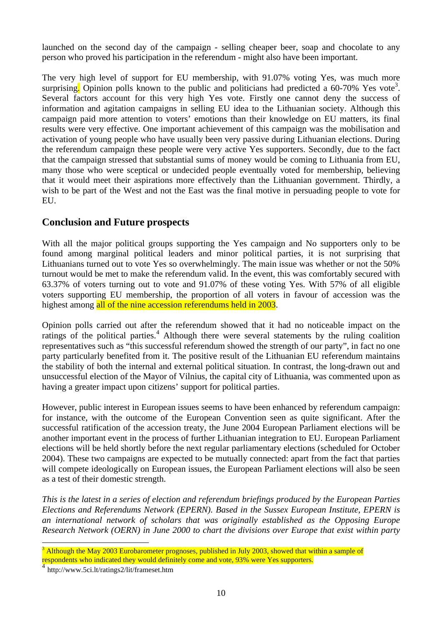launched on the second day of the campaign - selling cheaper beer, soap and chocolate to any person who proved his participation in the referendum - might also have been important.

The very high level of support for EU membership, with 91.07% voting Yes, was much more surprising. Opinion polls known to the public and politicians had predicted a  $60-70\%$  Yes vote<sup>3</sup>. Several factors account for this very high Yes vote. Firstly one cannot deny the success of information and agitation campaigns in selling EU idea to the Lithuanian society. Although this campaign paid more attention to voters' emotions than their knowledge on EU matters, its final results were very effective. One important achievement of this campaign was the mobilisation and activation of young people who have usually been very passive during Lithuanian elections. During the referendum campaign these people were very active Yes supporters. Secondly, due to the fact that the campaign stressed that substantial sums of money would be coming to Lithuania from EU, many those who were sceptical or undecided people eventually voted for membership, believing that it would meet their aspirations more effectively than the Lithuanian government. Thirdly, a wish to be part of the West and not the East was the final motive in persuading people to vote for EU.

### **Conclusion and Future prospects**

With all the major political groups supporting the Yes campaign and No supporters only to be found among marginal political leaders and minor political parties, it is not surprising that Lithuanians turned out to vote Yes so overwhelmingly. The main issue was whether or not the 50% turnout would be met to make the referendum valid. In the event, this was comfortably secured with 63.37% of voters turning out to vote and 91.07% of these voting Yes. With 57% of all eligible voters supporting EU membership, the proportion of all voters in favour of accession was the highest among all of the nine accession referendums held in 2003.

Opinion polls carried out after the referendum showed that it had no noticeable impact on the ratings of the political parties.<sup>4</sup> Although there were several statements by the ruling coalition representatives such as "this successful referendum showed the strength of our party", in fact no one party particularly benefited from it. The positive result of the Lithuanian EU referendum maintains the stability of both the internal and external political situation. In contrast, the long-drawn out and unsuccessful election of the Mayor of Vilnius, the capital city of Lithuania, was commented upon as having a greater impact upon citizens' support for political parties.

However, public interest in European issues seems to have been enhanced by referendum campaign: for instance, with the outcome of the European Convention seen as quite significant. After the successful ratification of the accession treaty, the June 2004 European Parliament elections will be another important event in the process of further Lithuanian integration to EU. European Parliament elections will be held shortly before the next regular parliamentary elections (scheduled for October 2004). These two campaigns are expected to be mutually connected: apart from the fact that parties will compete ideologically on European issues, the European Parliament elections will also be seen as a test of their domestic strength.

*This is the latest in a series of election and referendum briefings produced by the European Parties Elections and Referendums Network (EPERN). Based in the Sussex European Institute, EPERN is an international network of scholars that was originally established as the Opposing Europe Research Network (OERN) in June 2000 to chart the divisions over Europe that exist within party*

 $\overline{a}$ 3 Although the May 2003 Eurobarometer prognoses, published in July 2003, showed that within a sample of respondents who indicated they would definitely come and vote, 93% were Yes supporters.

<sup>4</sup> http://www.5ci.lt/ratings2/lit/frameset.htm